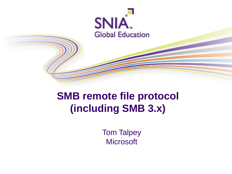

# **SMB remote file protocol (including SMB 3.x)**

Tom Talpey **Microsoft**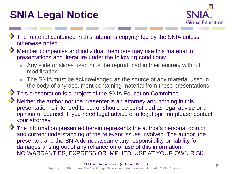# **SNIA Legal Notice**



- The material contained in this tutorial is copyrighted by the SNIA unless otherwise noted.
- Member companies and individual members may use this material in presentations and literature under the following conditions:
	- Any slide or slides used must be reproduced in their entirety without modification
	- The SNIA must be acknowledged as the source of any material used in the body of any document containing material from these presentations.

This presentation is a project of the SNIA Education Committee.

- Neither the author nor the presenter is an attorney and nothing in this presentation is intended to be, or should be construed as legal advice or an opinion of counsel. If you need legal advice or a legal opinion please contact your attorney.
- The information presented herein represents the author's personal opinion and current understanding of the relevant issues involved. The author, the presenter, and the SNIA do not assume any responsibility or liability for damages arising out of any reliance on or use of this information. NO WARRANTIES, EXPRESS OR IMPLIED. USE AT YOUR OWN RISK.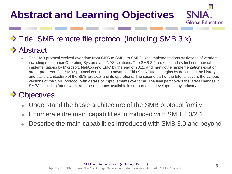# **Abstract and Learning Objectives**



## ◆ Title: SMB remote file protocol (including SMB 3.x) **◆ Abstract**

The SMB protocol evolved over time from CIFS to SMB1 to SMB2, with implementations by dozens of vendors including most major Operating Systems and NAS solutions. The SMB 3.0 protocol had its first commercial implementations by Microsoft, NetApp and EMC by the end of 2012, and many other implementations exist or are in-progress. The SMB3 protocol continues to advance. This SNIA Tutorial begins by describing the history and basic architecture of the SMB protocol and its operations. The second part of the tutorial covers the various versions of the SMB protocol, with details of improvements over time. The final part covers the latest changes in SMB3, including future work, and the resources available in support of its development by industry.

### **◆ Objectives**

- Understand the basic architecture of the SMB protocol family
- Enumerate the main capabilities introduced with SMB 2.0/2.1
- Describe the main capabilities introduced with SMB 3.0 and beyond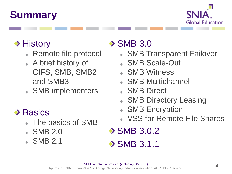# **Summary**



## **→ History**

- Remote file protocol
- A brief history of CIFS, SMB, SMB2 and SMB3
- SMB implementers

## $\rightarrow$  Basics

- The basics of SMB
- SMB 2.0
- SMB 2.1

# $\rightarrow$  SMB 3.0

- SMB Transparent Failover
- SMB Scale-Out
- SMB Witness
- SMB Multichannel
- SMB Direct
- SMB Directory Leasing
- SMB Encryption
- VSS for Remote File Shares
- **◆ SMB 3.0.2**
- $\rightarrow$  SMB 3.1.1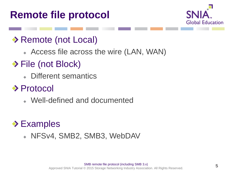# **Remote file protocol**



### ◆ Remote (not Local)

Access file across the wire (LAN, WAN)

## ◆ File (not Block)

Different semantics

## ◆ Protocol

Well-defined and documented

## **Examples**

NFSv4, SMB2, SMB3, WebDAV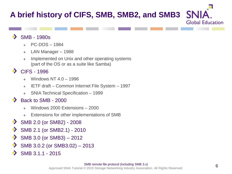## **A brief history of CIFS, SMB, SMB2, and SMB3**

#### $\bullet$ SMB - 1980s

- PC-DOS 1984
- LAN Manager 1988
- Implemented on Unix and other operating systems (part of the OS or as a suite like Samba)

#### CIFS - 1996

- Windows NT 4.0 1996
- IETF draft Common Internet File System 1997
- SNIA Technical Specification 1999  $\bullet$

#### Back to SMB - 2000

- Windows 2000 Extensions 2000
- Extensions for other implementations of SMB  $\bullet$
- SMB 2.0 (or SMB2) 2008
- ◆ SMB 2.1 (or SMB2.1) - 2010
- SMB 3.0 (or SMB3) 2012
- SMB 3.0.2 (or SMB3.02) 2013
- SMB 3.1.1 2015

**SP** 

**Global Education**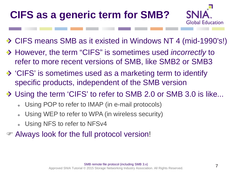# **CIFS as a generic term for SMB?**



- ◆ CIFS means SMB as it existed in Windows NT 4 (mid-1990's!)
- However, the term "CIFS" is sometimes used *incorrectly* to refer to more recent versions of SMB, like SMB2 or SMB3
- 'CIFS' is sometimes used as a marketing term to identify specific products, independent of the SMB version
- ◆ Using the term 'CIFS' to refer to SMB 2.0 or SMB 3.0 is like...
	- Using POP to refer to IMAP (in e-mail protocols)
	- Using WEP to refer to WPA (in wireless security)
	- Using NFS to refer to NFSv4
- Always look for the full protocol version!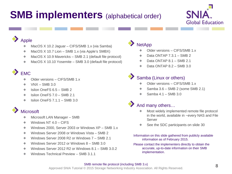# **SMB implementers** (alphabetical order)



#### Apple

- MacOS X 10.2 Jaguar CIFS/SMB 1.x (via Samba)
- MacOS X 10.7 Lion SMB 1.x (via Apple's SMBX) ۰
- MacOS X 10.9 Mavericks SMB 2.1 (default file protocol) ۰
- MacOS X 10.10 Yosemite SMB 3.0 (default file protocol) ۰

#### EMC

- Older versions CIFS/SMB 1.x
- $V$ N $X$  SMB 3.0 ٠
- Isilon OneFS 6.5 SMB 2 ٠
- Isilon OneFS 7.0 SMB 2.1 ٠
- Isilon OneFS 7.1.1 SMB 3.0 ٠

#### **Microsoft**

- Microsoft LAN Manager SMB
- Windows NT 4.0 CIFS ۰
- ۰ Windows 2000, Server 2003 or Windows XP – SMB 1.x
- ۰ Windows Server 2008 or Windows Vista – SMB 2
- Windows Server 2008 R2 or Windows 7 SMB 2.1 ۰
- Windows Server 2012 or Windows 8 SMB 3.0 ٠
- Windows Server 2012 R2 or Windows 8.1 SMB 3.0.2 ٠
- Windows Technical Preview SMB 3.1.1 ۵

#### **NetApp**

- Older versions CIFS/SMB 1.x
- Data ONTAP 7.3.1 SMB 2
- Data ONTAP 8.1 SMB 2.1
- ٠ Data ONTAP 8.2 – SMB 3.0

#### Samba (Linux or others)

- Older versions CIFS/SMB 1.x
- Samba 3.6 SMB 2 (some SMB 2.1)
- Samba 4.1 SMB 3.0

#### And many others…

- Most widely implemented remote file protocol in the world, available in ~every NAS and File Server
- See the SDC participants on slide 30
- Information on this slide gathered from publicly available information as of February 2015.
- Please contact the implementers directly to obtain the accurate, up-to-date information on their SMB implementation.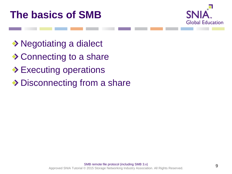



- ◆ Negotiating a dialect
- ◆ Connecting to a share
- **Executing operations**
- ◆ Disconnecting from a share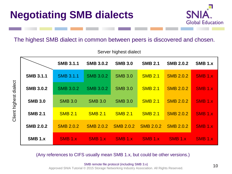

#### The highest SMB dialect in common between peers is discovered and chosen.

|                  | <b>SMB 3.1.1</b>   | <b>SMB 3.0.2</b> | <b>SMB 3.0</b>     | <b>SMB 2.1</b>     | <b>SMB 2.0.2</b> | <b>SMB 1.x</b>     |
|------------------|--------------------|------------------|--------------------|--------------------|------------------|--------------------|
| <b>SMB 3.1.1</b> | <b>SMB 3.1.1</b>   | <b>SMB 3.0.2</b> | <b>SMB 3.0</b>     | <b>SMB 2.1</b>     | <b>SMB 2.0.2</b> | SMB <sub>1.X</sub> |
| <b>SMB 3.0.2</b> | <b>SMB 3.0.2</b>   | <b>SMB 3.0.2</b> | <b>SMB 3.0</b>     | <b>SMB 2.1</b>     | <b>SMB 2.0.2</b> | <b>SMB 1.x</b>     |
| <b>SMB 3.0</b>   | <b>SMB 3.0</b>     | <b>SMB 3.0</b>   | <b>SMB 3.0</b>     | <b>SMB 2.1</b>     | <b>SMB 2.0.2</b> | SMB <sub>1.X</sub> |
| <b>SMB 2.1</b>   | <b>SMB 2.1</b>     | <b>SMB 2.1</b>   | <b>SMB 2.1</b>     | <b>SMB 2.1</b>     | <b>SMB 2.0.2</b> | SMB <sub>1.X</sub> |
| <b>SMB 2.0.2</b> | <b>SMB 2.0.2</b>   | <b>SMB 2.0.2</b> | <b>SMB 2.0.2</b>   | <b>SMB 2.0.2</b>   | <b>SMB 2.0.2</b> | SMB <sub>1.X</sub> |
| <b>SMB 1.x</b>   | SMB <sub>1.X</sub> | SMB 1.x          | SMB <sub>1.x</sub> | SMB <sub>1.x</sub> | SMB 1.x          | SMB <sub>1.x</sub> |

Server highest dialect

(Any references to CIFS usually mean SMB 1.x, but could be other versions.)

SMB remote file protocol (including SMB 3.x) Approved SNIA Tutorial © 2015 Storage Networking Industry Association. All Rights Reserved.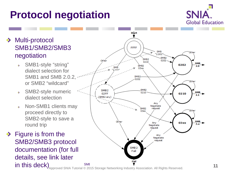# **Protocol negotiation**



#### Multi-protocol ◆ SMB1/SMB2/SMB3 negotiation

- SMB1-style "string" dialect selection for SMB1 and SMB 2.0.2, or SMB2 "wildcard"
- SMB2-style numeric  $\rightarrow$ dialect selection
- Non-SMB1 clients may  $\rightarrow$ proceed directly to SMB2-style to save a round trip
- $\rightarrow$  Figure is from the SMB2/SMB3 protocol documentation (for full details, see link later in this deck)



Approved SNIA Tutorial © 2015 Storage Networking Industry Association. All Rights Reserved.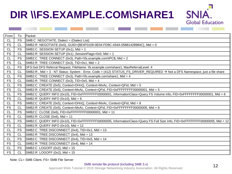# **DIR \\FS.EXAMPLE.COM\SHARE1**

| From      | To        | Packet                                                                                                                       |
|-----------|-----------|------------------------------------------------------------------------------------------------------------------------------|
| <b>CL</b> | <b>FS</b> | SMB:C NEGOTIATE, Dialect = (Dialect List)                                                                                    |
| <b>FS</b> | <b>CL</b> | SMB2:R NEGOTIATE (0x0), GUID={8E4F0109-0E04-FD9C-434A-05881428984C}, Mid = 0                                                 |
| CL        | <b>FS</b> | $ {\rm SMB2:C}$ SESSION SETUP (0x1), Mid = 1                                                                                 |
| <b>FS</b> | <b>CL</b> | SMB2:R SESSION SETUP (0x1), SessionFlags=0x0, Mid = 1                                                                        |
| <b>CL</b> | <b>FS</b> | SMB2:C TREE CONNECT (0x3), Path=\\fs.example.com\IPC\$, Mid = 2                                                              |
| <b>FS</b> | <b>CL</b> | SMB2:R TREE CONNECT (0x3), TID=0x1, Mid = 2                                                                                  |
| <b>CL</b> | <b>FS</b> | DFS:Get DFS Referral Request, FileName: \fs.example.com\share1, MaxReferralLevel: 4                                          |
| <b>FS</b> | <b>CL</b> | SMB2:R, Mid = 3 - NT Status: System - Error, Code = (412) STATUS_FS_DRIVER_REQUIRED → Not a DFS Namespace, just a file share |
| CL        | <b>FS</b> | SMB2:C TREE CONNECT (0x3), Path=\\fs.example.com\share1, Mid = 4                                                             |
| <b>FS</b> | CL        | $ {\rm SMB2:}$ R TREE CONNECT (0x3), TID=0x5, Mid = 4                                                                        |
| <b>CL</b> | FS        | SMB2:C CREATE (0x5), Context=DHnQ, Context=MxAc, Context=QFid, Mid = 5                                                       |
| <b>FS</b> | <b>CL</b> | SMB2:R CREATE (0x5), Context=MxAc, Context=QFid, FID=0xFFFFFFFF00000001, Mid = 5                                             |
| <b>CL</b> | <b>FS</b> | SMB2:C QUERY INFO (0x10), FID=0xFFFFFFFF00000001, InformationClass=Query FS Volume Info, FID=0xFFFFFFFF00000001, Mid = 6     |
| <b>FS</b> | <b>CL</b> | SMB2:R QUERY INFO (0x10), Mid = 6                                                                                            |
| <b>CL</b> | <b>FS</b> | SMB2:C CREATE (0x5), Context=DHnQ, Context=MxAc, Context=QFid, Mid = 8                                                       |
| <b>FS</b> | <b>CL</b> | SMB2:R CREATE (0x5), Context=MxAc, Context=QFid, FID=0xFFFFFFFF00000005, Mid = 8                                             |
| <b>CL</b> | <b>FS</b> | $ {\rm SMB2:C}$ CLOSE (0x6), FID=0xFFFFFFFF00000001, Mid = 11                                                                |
| <b>FS</b> | <b>CL</b> | $ {\rm SMB2:R}$ CLOSE (0x6), Mid = 11                                                                                        |
| <b>CL</b> | <b>FS</b> | SMB2:C QUERY INFO (0x10), FID=0xFFFFFFFF00000005, InformationClass=Query FS Full Size Info, FID=0xFFFFFFFF00000005, Mid = 12 |
| <b>FS</b> | <b>CL</b> | $ {\rm SMB2:R}$ QUERY INFO (0x10), Mid = 12                                                                                  |
| <b>CL</b> | <b>FS</b> | SMB2:C TREE DISCONNECT $(0x4)$ , TID=0x1, Mid = 13                                                                           |
| <b>FS</b> | <b>CL</b> | $ {\rm SMB2:R}$ TREE DISCONNECT (0x4), Mid = 13                                                                              |
| <b>CL</b> | <b>FS</b> | SMB2:C TREE DISCONNECT (0x4), TID=0x5, Mid = 14                                                                              |
| <b>FS</b> | <b>CL</b> | $ {\rm SMB2:R}$ TREE DISCONNECT (0x4), Mid = 14                                                                              |
| <b>CL</b> | <b>FS</b> | $ {\rm SMB2:C}$ LOGOFF (0x2), Mid = 15                                                                                       |
| <b>FS</b> | <b>CL</b> | $\textsf{SMB2:R LOGOFF}$ (0x2), Mid = 15                                                                                     |
|           |           |                                                                                                                              |

Note: CL= SMB Client, FS= SMB File Server

**SNIA** 

**Global Education**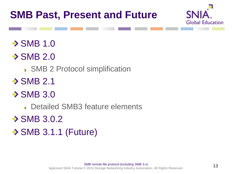

 $\rightarrow$  SMB 1.0

 $\rightarrow$  SMB 2.0

SMB 2 Protocol simplification

 $\rightarrow$  SMB 2.1

 $\rightarrow$  SMB 3.0

Detailed SMB3 feature elements

 $\rightarrow$  SMB 3.0.2

 $\rightarrow$  SMB 3.1.1 (Future)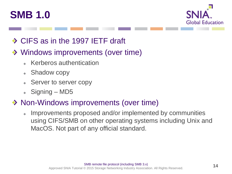



### ◆ CIFS as in the 1997 IETF draft

### ◆ Windows improvements (over time)

- Kerberos authentication
- Shadow copy
- Server to server copy
- $\triangle$  Signing MD5

### ◆ Non-Windows improvements (over time)

Improvements proposed and/or implemented by communities  $\bullet$ using CIFS/SMB on other operating systems including Unix and MacOS. Not part of any official standard.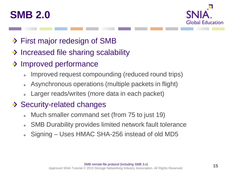



- ◆ First major redesign of SMB
- Increased file sharing scalability
- **◆ Improved performance** 
	- Improved request compounding (reduced round trips)
	- Asynchronous operations (multiple packets in flight)  $\Phi$
	- Larger reads/writes (more data in each packet)

### ◆ Security-related changes

- Much smaller command set (from 75 to just 19)
- SMB Durability provides limited network fault tolerance  $\ddot{\Phi}$
- Signing Uses HMAC SHA-256 instead of old MD5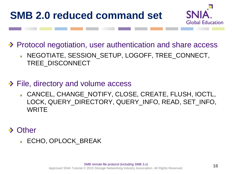# **SMB 2.0 reduced command set**



◆ Protocol negotiation, user authentication and share access

- NEGOTIATE, SESSION\_SETUP, LOGOFF, TREE\_CONNECT, TREE\_DISCONNECT
- **◆ File, directory and volume access** 
	- CANCEL, CHANGE\_NOTIFY, CLOSE, CREATE, FLUSH, IOCTL, LOCK, QUERY\_DIRECTORY, QUERY\_INFO, READ, SET\_INFO, **WRITE**
- **Other** 
	- ECHO, OPLOCK\_BREAK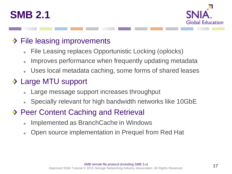



### ◆ File leasing improvements

- File Leasing replaces Opportunistic Locking (oplocks)
- Improves performance when frequently updating metadata  $\ddot{\Phi}$
- Uses local metadata caching, some forms of shared leases

### ◆ Large MTU support

- Large message support increases throughput
- Specially relevant for high bandwidth networks like 10GbE
- ◆ Peer Content Caching and Retrieval
	- Implemented as BranchCache in Windows
	- Open source implementation in Prequel from Red Hat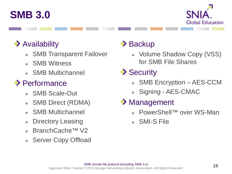



### ◆ Availability

- SMB Transparent Failover
- SMB Witness
- SMB Multichannel

### ◆ Performance

- SMB Scale-Out
- SMB Direct (RDMA)
- SMB Multichannel
- Directory Leasing ۰
- BranchCache™ V2
- Server Copy Offload

## $\rightarrow$  Backup

- Volume Shadow Copy (VSS) for SMB File Shares
- **◆ Security** 
	- SMB Encryption AES-CCM
	- Signing AES-CMAC
- ◆ Management
	- PowerShell™ over WS-Man
	- SMI-S File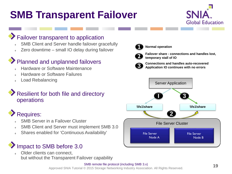# **SMB Transparent Failover**



#### Failover transparent to application

- SMB Client and Server handle failover gracefully
- Zero downtime small IO delay during failover

#### Planned and unplanned failovers

- Hardware or Software Maintenance
- Hardware or Software Failures
- Load Rebalancing

#### Resilient for both file and directory operations

### Requires:

- SMB Server in a Failover Cluster
- SMB Client and Server must implement SMB 3.0
- Shares enabled for 'Continuous Availability'

### Impact to SMB before 3.0

Older clients can connect, but without the Transparent Failover capability



**1 Normal operation**



**Failover share - connections and handles lost, temporary stall of IO**



**Connections and handles auto-recovered 3 Application IO continues with no errors**



#### SMB remote file protocol (including SMB 3.x)

Approved SNIA Tutorial © 2015 Storage Networking Industry Association. All Rights Reserved.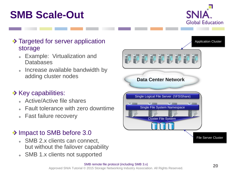# **SMB Scale-Out**



#### ◆ Targeted for server application storage

- Example: Virtualization and **Databases**
- Increase available bandwidth by adding cluster nodes

#### $\rightarrow$  Key capabilities:

- Active/Active file shares
- Fault tolerance with zero downtime
- Fast failure recovery

#### ◆ Impact to SMB before 3.0

- SMB 2.x clients can connect, but without the failover capability
- SMB 1.x clients not supported

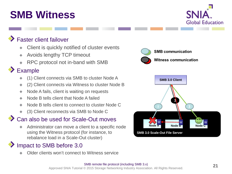# **SMB Witness**



#### Faster client failover

- Client is quickly notified of cluster events
- Avoids lengthy TCP timeout ۰
- RPC protocol not in-band with SMB

#### Example

- (1) Client connects via SMB to cluster Node A
- (2) Client connects via Witness to cluster Node B
- Node A fails, client is waiting on requests
- Node B tells client that Node A failed
- Node B tells client to connect to cluster Node C
- (3) Client reconnects via SMB to Node C

#### Can also be used for Scale-Out moves

Administrator can move a client to a specific node using the Witness protocol (for instance, to rebalance load in a Scale-Out cluster)

### Impact to SMB before 3.0

Older clients won't connect to Witness service





#### SMB remote file protocol (including SMB 3.x) Approved SNIA Tutorial © 2015 Storage Networking Industry Association. All Rights Reserved.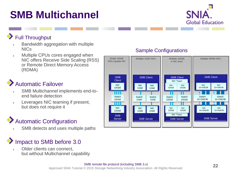# **SMB Multichannel**



#### Full Throughput

- Bandwidth aggregation with multiple NICs
- Multiple CPUs cores engaged when  $\bar{\Phi}$ NIC offers Receive Side Scaling (RSS) or Remote Direct Memory Access (RDMA)

### Automatic Failover

- SMB Multichannel implements end-toend failure detection
- Leverages NIC teaming if present, but does not require it

### Automatic Configuration

SMB detects and uses multiple paths

### Impact to SMB before 3.0

Older clients can connect, but without Multichannel capability



#### Sample Configurations

#### SMB remote file protocol (including SMB 3.x) Approved SNIA Tutorial © 2015 Storage Networking Industry Association. All Rights Reserved.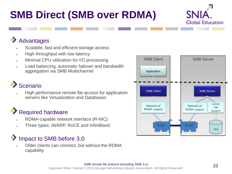# **SMB Direct (SMB over RDMA)**



#### Advantages

- Scalable, fast and efficient storage access
- High throughput with low latency ò.
- Minimal CPU utilization for I/O processing  $\ddot{\Phi}$
- Load balancing, automatic failover and bandwidth aggregation via SMB Multichannel

### **Scenario**

High performance remote file access for application servers like Virtualization and Databases

### Required hardware

- RDMA-capable network interface (R-NIC)
- Three types: iWARP, RoCE and InfiniBand

### Impact to SMB before 3.0

Older clients can connect, but without the RDMA capability

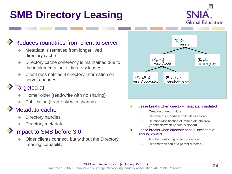# **SMB Directory Leasing**



#### Reduces roundtrips from client to server

- Metadata is retrieved from longer lived directory cache
- Directory cache coherency is maintained due to the implementation of directory leases
- Client gets notified if directory information on server changes

#### Targeted at

- HomeFolder (read/write with no sharing)
- Publication (read-only with sharing)

#### Metadata cache

- Directory handles
- Directory metadata

#### Impact to SMB before 3.0

Older clients connect, but without the Directory Leasing capability



#### Lease breaks when directory metadata is updated ۰

- Creation of new children
- Rename of immediate child file/directory
- Deletion/Modification of immediate children (manifests when handle is closed)
- Lease breaks when directory handle itself gets a ◆ sharing conflict
	- Another conflicting open to directory
	- Rename/deletion of a parent directory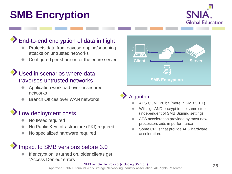# **SMB Encryption**



#### End-to-end encryption of data in flight

- Protects data from eavesdropping/snooping attacks on untrusted networks
- Configured per share or for the entire server

#### Used in scenarios where data traverses untrusted networks

- Application workload over unsecured networks
- Branch Offices over WAN networks

#### **Low deployment costs**

- No IPsec required
- No Public Key Infrastructure (PKI) required
- No specialized hardware required

### Impact to SMB versions before 3.0

If encryption is turned on, older clients get "Access Denied" errors



Algorithm

- AES CCM 128 bit (more in SMB 3.1.1)
- Will sign AND encrypt in the same step (independent of SMB Signing setting)
- AES acceleration provided by most new processors aids in performance
- Some CPUs that provide AES hardware acceleration.

#### SMB remote file protocol (including SMB 3.x)

Approved SNIA Tutorial © 2015 Storage Networking Industry Association. All Rights Reserved.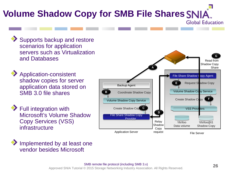### **Volume Shadow Copy for SMB File Shares Global Education**

- Supports backup and restore scenarios for application servers such as Virtualization and Databases
- Application-consistent shadow copies for server application data stored on SMB 3.0 file shares
- Full integration with Microsoft's Volume Shadow Copy Services (VSS) infrastructure

Implemented by at least one vendor besides Microsoft

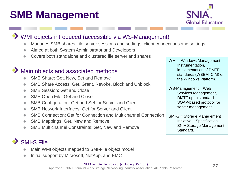# **SMB Management**



#### WMI objects introduced (accessible via WS-Management)

- Manages SMB shares, file server sessions and settings, client connections and settings
- Aimed at both System Administrator and Developers
- Covers both standalone and clustered file server and shares

#### $\blacktriangleright$  Main objects and associated methods

- SMB Share: Get, New, Set and Remove
- SMB Share Access: Get, Grant, Revoke, Block and Unblock
- SMB Session: Get and Close ٠
- SMB Open File: Get and Close ۰
- SMB Configuration: Get and Set for Server and Client ٠
- SMB Network Interfaces: Get for Server and Client ۰
- SMB Connection: Get for Connection and Multichannel Connection  $\bullet$
- SMB Mappings: Get, New and Remove
- SMB Multichannel Constraints: Get, New and Remove

### SMI-S File

- Main WMI objects mapped to SMI-File object model
- Initial support by Microsoft, NetApp, and EMC

Approved SNIA Tutorial © 2015 Storage Networking Industry Association. All Rights Reserved.

WMI = Windows Management Instrumentation, implementation of DMTF standards (WBEM, CIM) on the Windows Platform.

WS-Management = Web Services Management, DMTF open standard SOAP-based protocol for server management.

SMI-S = Storage Management Initiative – Specification, SNIA Storage Management Standard.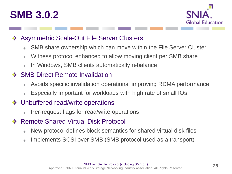# **SMB 3.0.2**



#### Asymmetric Scale-Out File Server Clusters

- SMB share ownership which can move within the File Server Cluster
- Witness protocol enhanced to allow moving client per SMB share  $\Phi$
- In Windows, SMB clients automatically rebalance

#### ◆ SMB Direct Remote Invalidation

- Avoids specific invalidation operations, improving RDMA performance  $\ddot{\Phi}$
- Especially important for workloads with high rate of small IOs

#### ◆ Unbuffered read/write operations

- Per-request flags for read/write operations  $\Phi$
- Remote Shared Virtual Disk Protocol  $\bullet$ 
	- New protocol defines block semantics for shared virtual disk files  $\ddot{\phantom{a}}$
	- Implements SCSI over SMB (SMB protocol used as a transport)  $\Phi$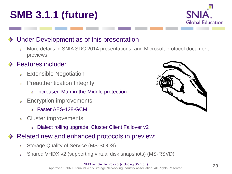



#### Under Development as of this presentation

More details in SNIA SDC 2014 presentations, and Microsoft protocol document  $\rightarrow$ previews

#### Features include:

- Extensible Negotiation  $\bullet$
- Preauthentication Integrity  $\rightarrow$ 
	- **Increased Man-in-the-Middle protection**
- Encryption improvements  $\rightarrow$ 
	- **S** Faster AES-128-GCM
- Cluster improvements  $\rightarrow$ 
	- Dialect rolling upgrade, Cluster Client Failover v2
- Related new and enhanced protocols in preview:
	- Storage Quality of Service (MS-SQOS)  $\rightarrow$
	- Shared VHDX v2 (supporting virtual disk snapshots) (MS-RSVD)  $\rightarrow$

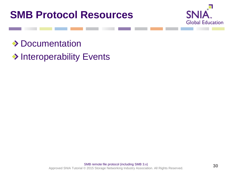



◆ Documentation

◆ Interoperability Events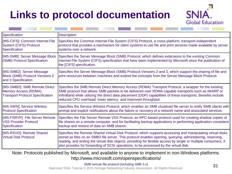# **Links to protocol documentation**



| <b>Description</b>                                                                                                                                                                                                                                                                                                                                                                                                                    |
|---------------------------------------------------------------------------------------------------------------------------------------------------------------------------------------------------------------------------------------------------------------------------------------------------------------------------------------------------------------------------------------------------------------------------------------|
| Specifies the Common Internet File System (CIFS) Protocol, a cross-platform, transport-independent<br>protocol that provides a mechanism for client systems to use file and print services made available by server<br>systems over a network.                                                                                                                                                                                        |
| [MS-SMB]: Server Message Block   Specifies the Server Message Block (SMB) Protocol, which defines extensions to the existing Common<br>Internet File System (CIFS) specification that have been implemented by Microsoft since the publication of<br>the [CIFS] specification.                                                                                                                                                        |
| Specifies the Server Message Block (SMB) Protocol Versions 2 and 3, which support the sharing of file and<br>print resources between machines and extend the concepts from the Server Message Block Protocol.                                                                                                                                                                                                                         |
| Specifies the SMB Remote Direct Memory Access (RDMA) Transport Protocol, a wrapper for the existing<br>SMB protocol that allows SMB packets to be delivered over RDMA-capable transports such as iWARP or<br>InfiniBand while utilizing the direct data placement (DDP) capabilities of these transports. Benefits include<br>reduced CPU overhead, lower latency, and improved throughput.                                           |
| Specifies the Service Witness Protocol, which enables an SMB clustered file server to notify SMB clients with<br>prompt and explicit notifications about the failure or recovery of a network name and associated services.                                                                                                                                                                                                           |
| Specifies the File Server Remote VSS Protocol, an RPC-based protocol used for creating shadow copies of<br>file shares on a remote computer, and for facilitating backup applications in performing application-consistent<br>backup and restore of data on SMB shares.                                                                                                                                                               |
| Specifies the Remote Shared Virtual Disk Protocol, which supports accessing and manipulating virtual disks<br>stored as files on an SMB3 file server. This protocol enables opening, querying, administering, reserving,<br>reading, and writing the virtual disk objects, providing for flexible access by single or multiple consumers. It<br>also provides for forwarding of SCSI operations, to be processed by the virtual disk. |
|                                                                                                                                                                                                                                                                                                                                                                                                                                       |

Note: Protocols published by Microsoft, and available to anyone to implement in non-Windows platforms. http://www.microsoft.com/openspecifications/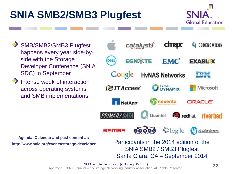# **SNIA SMB2/SMB3 Plugfest**



SMB/SMB2/SMB3 Plugfest happens every year side-byside with the Storage Developer Conference (SNIA SDC) in September

Intense week of interaction across operating systems and SMB implementations.



Santa Clara, CA – September 2014

**Agenda, Calendar and past content at: http://www.snia.org/events/storage-developer**

> SMB remote file protocol (including SMB 3.x) Approved SNIA Tutorial © 2015 Storage Networking Industry Association. All Rights Reserved.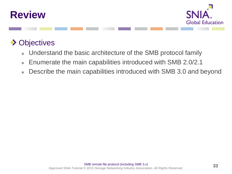



### **◆ Objectives**

- Understand the basic architecture of the SMB protocol family
- Enumerate the main capabilities introduced with SMB 2.0/2.1  $\ddot{\bullet}$
- Describe the main capabilities introduced with SMB 3.0 and beyond  $\bullet$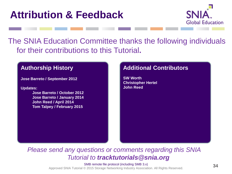# **Attribution & Feedback**



The SNIA Education Committee thanks the following individuals for their contributions to this Tutorial**.**

#### **Authorship History**

**Jose Barreto / September 2012**

**Updates:**

**Jose Barreto / October 2012 Jose Barreto / January 2014 John Reed / April 2014 Tom Talpey / February 2015**

#### **Additional Contributors**

**SW Worth Christopher Hertel John Reed**

*Please send any questions or comments regarding this SNIA Tutorial to tracktutorials@snia.org*

> SMB remote file protocol (including SMB 3.x) Approved SNIA Tutorial © 2015 Storage Networking Industry Association. All Rights Reserved.